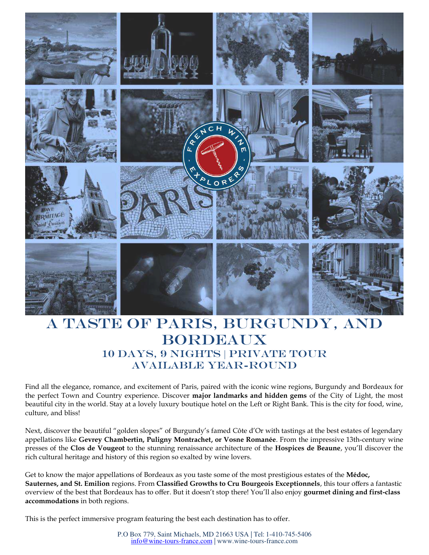

# A taste of Paris, Burgundy, and **BORDEAUX** 10 days, 9 nights | Private Tour Available year-round

Find all the elegance, romance, and excitement of Paris, paired with the iconic wine regions, Burgundy and Bordeaux for the perfect Town and Country experience. Discover **major landmarks and hidden gems** of the City of Light, the most beautiful city in the world. Stay at a lovely luxury boutique hotel on the Left or Right Bank. This is the city for food, wine, culture, and bliss!

Next, discover the beautiful "golden slopes" of Burgundy's famed Côte d'Or with tastings at the best estates of legendary appellations like **Gevrey Chambertin, Puligny Montrachet, or Vosne Romanée**. From the impressive 13th-century wine presses of the **Clos de Vougeot** to the stunning renaissance architecture of the **Hospices de Beaune**, you'll discover the rich cultural heritage and history of this region so exalted by wine lovers.

Get to know the major appellations of Bordeaux as you taste some of the most prestigious estates of the **Médoc, Sauternes, and St. Emilion** regions. From **Classified Growths to Cru Bourgeois Exceptionnels**, this tour offers a fantastic overview of the best that Bordeaux has to offer. But it doesn't stop there! You'll also enjoy **gourmet dining and first-class accommodations** in both regions.

This is the perfect immersive program featuring the best each destination has to offer.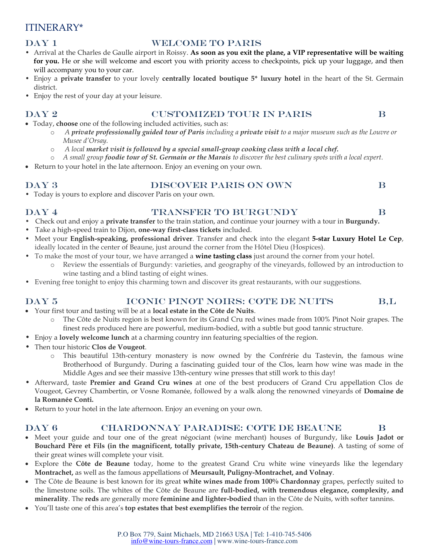## ITINERARY\*

### DAY 1 WELCOME TO PARIS

- Arrival at the Charles de Gaulle airport in Roissy. **As soon as you exit the plane, a VIP representative will be waiting for you.** He or she will welcome and escort you with priority access to checkpoints, pick up your luggage, and then will accompany you to your car.
- Enjoy a **private transfer** to your lovely **centrally located boutique 5\* luxury hotel** in the heart of the St. Germain district.
- Enjoy the rest of your day at your leisure.

### Day 2 customized tour in paris B

- Today, **choose** one of the following included activities, such as:
	- o *A private professionally guided tour of Paris including a private visit to a major museum such as the Louvre or Musee d'Orsay.*
	- o *A local market visit is followed by a special small-group cooking class with a local chef.*
	- o *A small group foodie tour of St. Germain or the Marais to discover the best culinary spots with a local expert.*
- Return to your hotel in the late afternoon. Enjoy an evening on your own.

### DAY 3 DISCOVER PARIS ON OWN B

# • Today is yours to explore and discover Paris on your own.

### DAY 4 TRANSFER TO BURGUNDY B

- Check out and enjoy a **private transfer** to the train station, and continue your journey with a tour in **Burgundy.**
- Take a high-speed train to Dijon, **one-way first-class tickets** included.
- Meet your **English-speaking, professional driver**. Transfer and check into the elegant **5-star Luxury Hotel Le Cep**, ideally located in the center of Beaune, just around the corner from the Hôtel Dieu (Hospices).
- To make the most of your tour, we have arranged a **wine tasting class** just around the corner from your hotel.
	- Review the essentials of Burgundy: varieties, and geography of the vineyards, followed by an introduction to wine tasting and a blind tasting of eight wines.
- Evening free tonight to enjoy this charming town and discover its great restaurants, with our suggestions.

### Day 5 iconic pinot noirs: cote de nuits B,L

- Your first tour and tasting will be at a **local estate in the Côte de Nuits**.
	- o The Côte de Nuits region is best known for its Grand Cru red wines made from 100% Pinot Noir grapes. The finest reds produced here are powerful, medium-bodied, with a subtle but good tannic structure.
- Enjoy a **lovely welcome lunch** at a charming country inn featuring specialties of the region.
- Then tour historic **Clos de Vougeot**.
	- o This beautiful 13th-century monastery is now owned by the Confrérie du Tastevin, the famous wine Brotherhood of Burgundy. During a fascinating guided tour of the Clos, learn how wine was made in the Middle Ages and see their massive 13th-century wine presses that still work to this day!
- Afterward, taste **Premier and Grand Cru wines** at one of the best producers of Grand Cru appellation Clos de Vougeot, Gevrey Chambertin, or Vosne Romanée, followed by a walk along the renowned vineyards of **Domaine de la Romanée Conti.**
- Return to your hotel in the late afternoon. Enjoy an evening on your own.

### Day 6 chardonnay paradise: cote de beaune B

- Meet your guide and tour one of the great négociant (wine merchant) houses of Burgundy, like **Louis Jadot or Bouchard Père et Fils (in the magnificent, totally private, 15th-century Chateau de Beaune)**. A tasting of some of their great wines will complete your visit.
- Explore the **Côte de Beaune** today, home to the greatest Grand Cru white wine vineyards like the legendary **Montrachet,** as well as the famous appellations of **Meursault, Puligny-Montrachet, and Volnay**.
- The Côte de Beaune is best known for its great **white wines made from 100% Chardonnay** grapes, perfectly suited to the limestone soils. The whites of the Côte de Beaune are **full-bodied, with tremendous elegance, complexity, and minerality**. The **reds** are generally more **feminine and lighter-bodied** than in the Côte de Nuits, with softer tannins.
- You'll taste one of this area's **top estates that best exemplifies the terroir** of the region.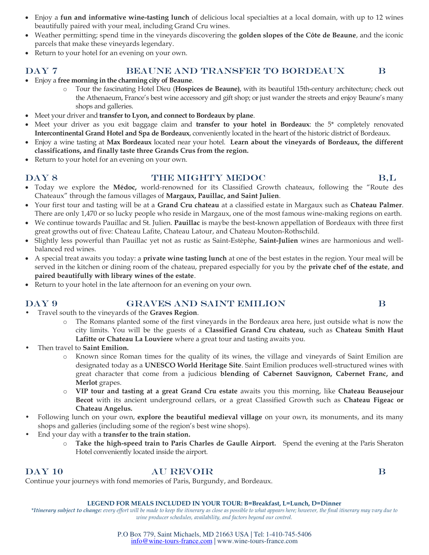- Enjoy a **fun and informative wine-tasting lunch** of delicious local specialties at a local domain, with up to 12 wines beautifully paired with your meal, including Grand Cru wines.
- Weather permitting; spend time in the vineyards discovering the **golden slopes of the Côte de Beaune**, and the iconic parcels that make these vineyards legendary.
- Return to your hotel for an evening on your own.

### DAY 7 BEAUNE AND TRANSFER TO BORDEAUX B

- Enjoy a **free morning in the charming city of Beaune**.
	- o Tour the fascinating Hotel Dieu (**Hospices de Beaune)**, with its beautiful 15th-century architecture; check out the Athenaeum, France's best wine accessory and gift shop; or just wander the streets and enjoy Beaune's many shops and galleries.
- Meet your driver and **transfer to Lyon, and connect to Bordeaux by plane**.
- Meet your driver as you exit baggage claim and **transfer to your hotel in Bordeaux**: the 5\* completely renovated **Intercontinental Grand Hotel and Spa de Bordeaux**, conveniently located in the heart of the historic district of Bordeaux.
- Enjoy a wine tasting at **Max Bordeaux** located near your hotel. **Learn about the vineyards of Bordeaux, the different classifications, and finally taste three Grands Crus from the region.**
- Return to your hotel for an evening on your own.

### DAY 8 THE MIGHTY MEDOC B,L

- Today we explore the **Médoc,** world-renowned for its Classified Growth chateaux, following the "Route des Chateaux" through the famous villages of **Margaux, Pauillac, and Saint Julien**.
- Your first tour and tasting will be at a **Grand Cru chateau** at a classified estate in Margaux such as **Chateau Palmer**. There are only 1,470 or so lucky people who reside in Margaux, one of the most famous wine-making regions on earth.
- We continue towards Pauillac and St. Julien. **Pauillac** is maybe the best-known appellation of Bordeaux with three first great growths out of five: Chateau Lafite, Chateau Latour, and Chateau Mouton-Rothschild.
- Slightly less powerful than Pauillac yet not as rustic as Saint-Estèphe, **Saint-Julien** wines are harmonious and wellbalanced red wines.
- A special treat awaits you today: a **private wine tasting lunch** at one of the best estates in the region. Your meal will be served in the kitchen or dining room of the chateau, prepared especially for you by the **private chef of the estate**, **and paired beautifully with library wines of the estate**.
- Return to your hotel in the late afternoon for an evening on your own.

### DAY 9 GRAVES AND SAINT EMILION B

- Travel south to the vineyards of the **Graves Region**.
	- o The Romans planted some of the first vineyards in the Bordeaux area here, just outside what is now the city limits. You will be the guests of a **Classified Grand Cru chateau,** such as **Chateau Smith Haut Lafitte or Chateau La Louviere** where a great tour and tasting awaits you.
- Then travel to **Saint Emilion.**
	- o Known since Roman times for the quality of its wines, the village and vineyards of Saint Emilion are designated today as a **UNESCO World Heritage Site**. Saint Emilion produces well-structured wines with great character that come from a judicious **blending of Cabernet Sauvignon, Cabernet Franc, and Merlot** grapes.
	- o **VIP tour and tasting at a great Grand Cru estate** awaits you this morning, like **Chateau Beausejour Becot** with its ancient underground cellars, or a great Classified Growth such as **Chateau Figeac or Chateau Angelus.**
- Following lunch on your own, **explore the beautiful medieval village** on your own, its monuments, and its many shops and galleries (including some of the region's best wine shops).
- End your day with a **transfer to the train station.** 
	- o **Take the high-speed train to Paris Charles de Gaulle Airport.** Spend the evening at the Paris Sheraton Hotel conveniently located inside the airport.

### DAY 10 AU REVOIR B

Continue your journeys with fond memories of Paris, Burgundy, and Bordeaux.

### **LEGEND FOR MEALS INCLUDED IN YOUR TOUR: B=Breakfast, L=Lunch, D=Dinner**

*\*Itinerary subject to change: every effort will be made to keep the itinerary as close as possible to what appears here; however, the final itinerary may vary due to wine producer schedules, availability, and factors beyond our control.* 

### P.O Box 779, Saint Michaels, MD 21663 USA | Tel: 1-410-745-5406 [info@wine-tours-france.com](mailto:info@wine-tours-france.com) | [www.wine-tours-france.com](http://www.wine-tours-france.com/)